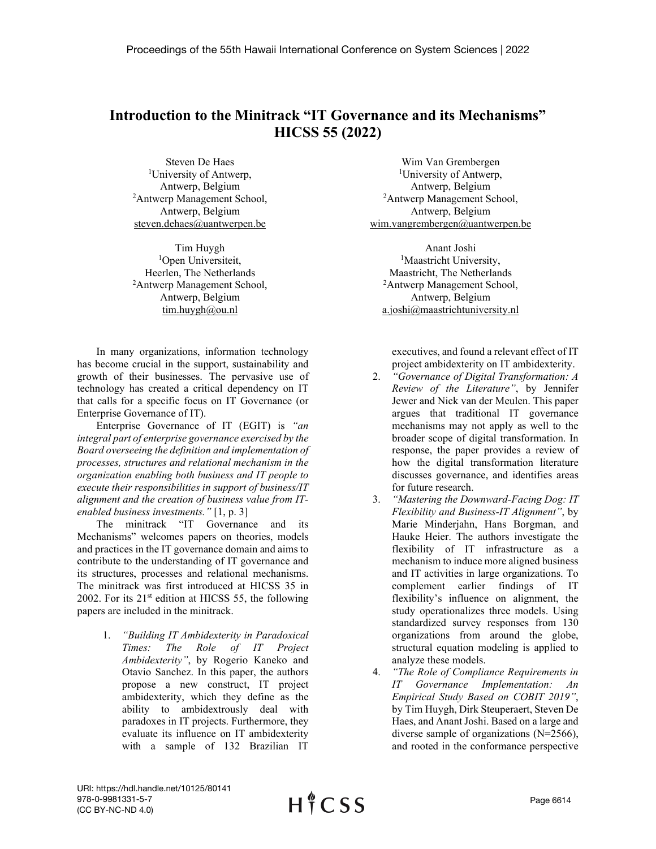## **Introduction to the Minitrack "IT Governance and its Mechanisms" HICSS 55 (2022)**

Steven De Haes 1 University of Antwerp, Antwerp, Belgium 2 Antwerp Management School, Antwerp, Belgium steven.dehaes@uantwerpen.be

Tim Huygh <sup>1</sup>Open Universiteit, Heerlen, The Netherlands 2 Antwerp Management School, Antwerp, Belgium tim.huygh@ou.nl

In many organizations, information technology has become crucial in the support, sustainability and growth of their businesses. The pervasive use of technology has created a critical dependency on IT that calls for a specific focus on IT Governance (or Enterprise Governance of IT).

Enterprise Governance of IT (EGIT) is *"an integral part of enterprise governance exercised by the Board overseeing the definition and implementation of processes, structures and relational mechanism in the organization enabling both business and IT people to execute their responsibilities in support of business/IT alignment and the creation of business value from ITenabled business investments."* [1, p. 3]

The minitrack "IT Governance and its Mechanisms" welcomes papers on theories, models and practices in the IT governance domain and aims to contribute to the understanding of IT governance and its structures, processes and relational mechanisms. The minitrack was first introduced at HICSS 35 in 2002. For its  $21<sup>st</sup>$  edition at HICSS 55, the following papers are included in the minitrack.

> 1. *"Building IT Ambidexterity in Paradoxical Times: The Role of IT Project Ambidexterity"*, by Rogerio Kaneko and Otavio Sanchez. In this paper, the authors propose a new construct, IT project ambidexterity, which they define as the ability to ambidextrously deal with paradoxes in IT projects. Furthermore, they evaluate its influence on IT ambidexterity with a sample of 132 Brazilian IT

Wim Van Grembergen 1 University of Antwerp, Antwerp, Belgium 2 Antwerp Management School, Antwerp, Belgium wim.vangrembergen@uantwerpen.be

Anant Joshi <sup>1</sup>Maastricht University, Maastricht, The Netherlands 2 Antwerp Management School, Antwerp, Belgium a.joshi@maastrichtuniversity.nl

executives, and found a relevant effect of IT project ambidexterity on IT ambidexterity.

- 2. *"Governance of Digital Transformation: A Review of the Literature"*, by Jennifer Jewer and Nick van der Meulen. This paper argues that traditional IT governance mechanisms may not apply as well to the broader scope of digital transformation. In response, the paper provides a review of how the digital transformation literature discusses governance, and identifies areas for future research.
- 3. *"Mastering the Downward-Facing Dog: IT Flexibility and Business-IT Alignment"*, by Marie Minderjahn, Hans Borgman, and Hauke Heier. The authors investigate the flexibility of IT infrastructure as a mechanism to induce more aligned business and IT activities in large organizations. To complement earlier findings of IT flexibility's influence on alignment, the study operationalizes three models. Using standardized survey responses from 130 organizations from around the globe, structural equation modeling is applied to analyze these models.
- 4. *"The Role of Compliance Requirements in IT Governance Implementation: An Empirical Study Based on COBIT 2019"*, by Tim Huygh, Dirk Steuperaert, Steven De Haes, and Anant Joshi. Based on a large and diverse sample of organizations (N=2566), and rooted in the conformance perspective